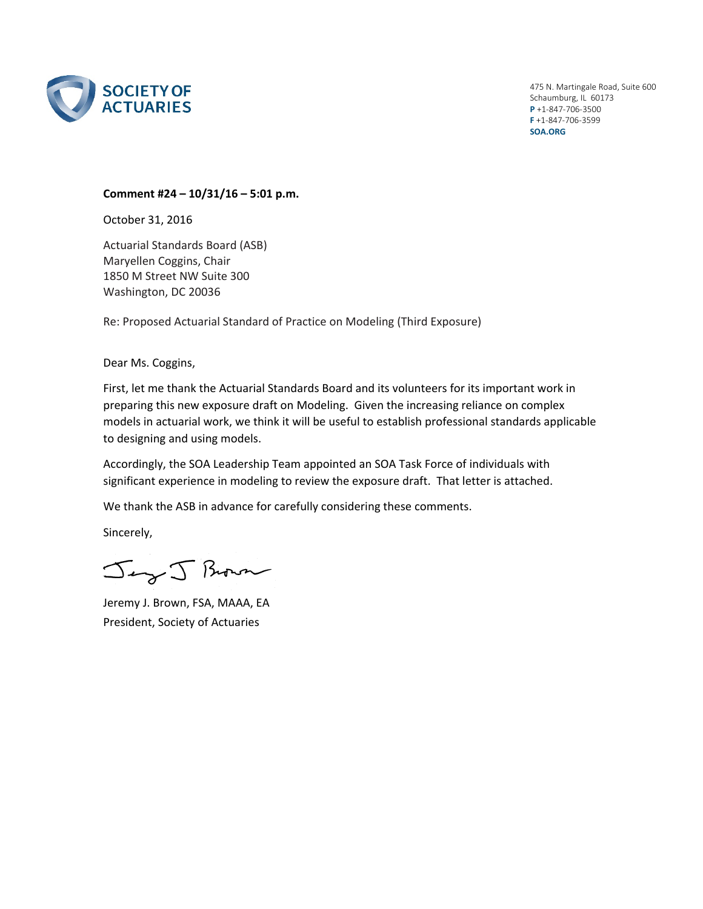

475 N. Martingale Road, Suite 600 Schaumburg, IL 60173 **P** +1‐847‐706‐3500 **F** +1‐847‐706‐3599 **SOA.ORG**

## **Comment #24 – 10/31/16 – 5:01 p.m.**

October 31, 2016

Actuarial Standards Board (ASB) Maryellen Coggins, Chair 1850 M Street NW Suite 300 Washington, DC 20036

Re: Proposed Actuarial Standard of Practice on Modeling (Third Exposure)

Dear Ms. Coggins,

First, let me thank the Actuarial Standards Board and its volunteers for its important work in preparing this new exposure draft on Modeling. Given the increasing reliance on complex models in actuarial work, we think it will be useful to establish professional standards applicable to designing and using models.

Accordingly, the SOA Leadership Team appointed an SOA Task Force of individuals with significant experience in modeling to review the exposure draft. That letter is attached.

We thank the ASB in advance for carefully considering these comments.

Sincerely,

Jeg J Brown

Jeremy J. Brown, FSA, MAAA, EA President, Society of Actuaries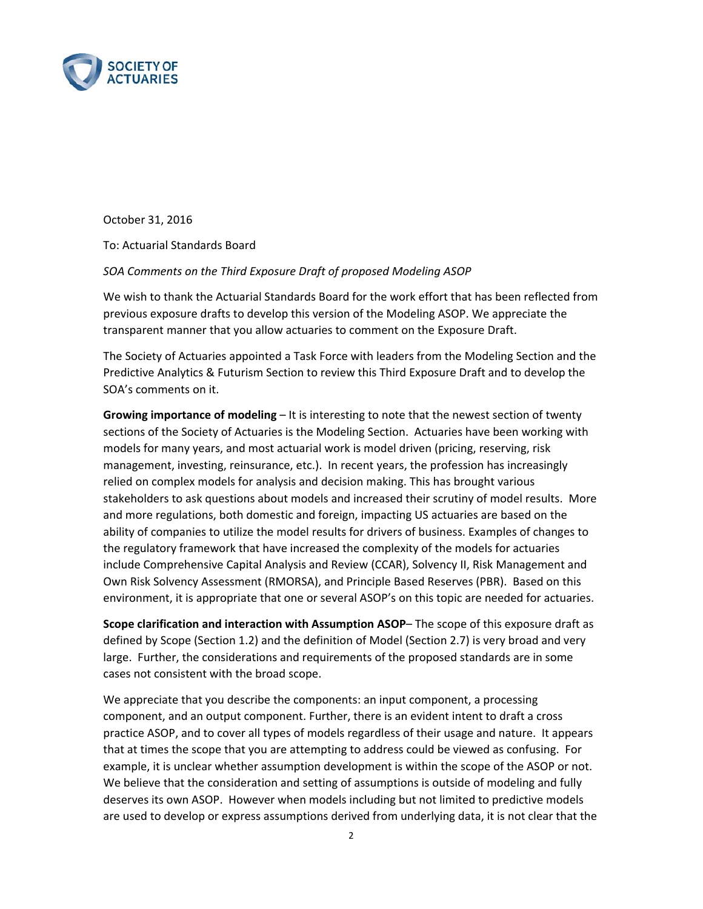

October 31, 2016

To: Actuarial Standards Board

## *SOA Comments on the Third Exposure Draft of proposed Modeling ASOP*

We wish to thank the Actuarial Standards Board for the work effort that has been reflected from previous exposure drafts to develop this version of the Modeling ASOP. We appreciate the transparent manner that you allow actuaries to comment on the Exposure Draft.

The Society of Actuaries appointed a Task Force with leaders from the Modeling Section and the Predictive Analytics & Futurism Section to review this Third Exposure Draft and to develop the SOA's comments on it.

**Growing importance of modeling** – It is interesting to note that the newest section of twenty sections of the Society of Actuaries is the Modeling Section. Actuaries have been working with models for many years, and most actuarial work is model driven (pricing, reserving, risk management, investing, reinsurance, etc.). In recent years, the profession has increasingly relied on complex models for analysis and decision making. This has brought various stakeholders to ask questions about models and increased their scrutiny of model results. More and more regulations, both domestic and foreign, impacting US actuaries are based on the ability of companies to utilize the model results for drivers of business. Examples of changes to the regulatory framework that have increased the complexity of the models for actuaries include Comprehensive Capital Analysis and Review (CCAR), Solvency II, Risk Management and Own Risk Solvency Assessment (RMORSA), and Principle Based Reserves (PBR). Based on this environment, it is appropriate that one or several ASOP's on this topic are needed for actuaries.

**Scope clarification and interaction with Assumption ASOP**– The scope of this exposure draft as defined by Scope (Section 1.2) and the definition of Model (Section 2.7) is very broad and very large. Further, the considerations and requirements of the proposed standards are in some cases not consistent with the broad scope.

We appreciate that you describe the components: an input component, a processing component, and an output component. Further, there is an evident intent to draft a cross practice ASOP, and to cover all types of models regardless of their usage and nature. It appears that at times the scope that you are attempting to address could be viewed as confusing. For example, it is unclear whether assumption development is within the scope of the ASOP or not. We believe that the consideration and setting of assumptions is outside of modeling and fully deserves its own ASOP. However when models including but not limited to predictive models are used to develop or express assumptions derived from underlying data, it is not clear that the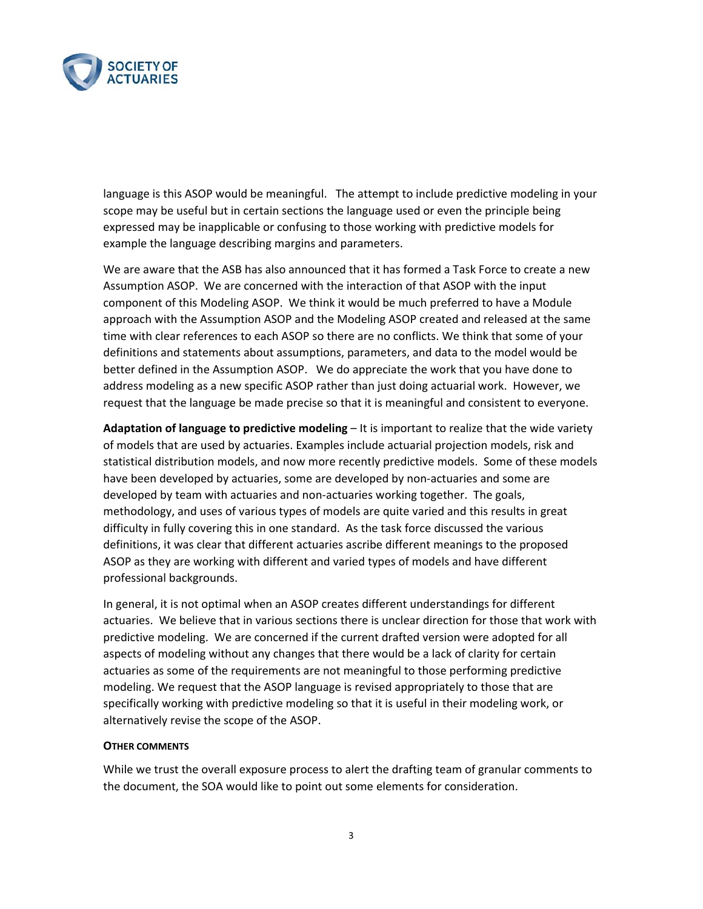

language is this ASOP would be meaningful. The attempt to include predictive modeling in your scope may be useful but in certain sections the language used or even the principle being expressed may be inapplicable or confusing to those working with predictive models for example the language describing margins and parameters.

We are aware that the ASB has also announced that it has formed a Task Force to create a new Assumption ASOP. We are concerned with the interaction of that ASOP with the input component of this Modeling ASOP. We think it would be much preferred to have a Module approach with the Assumption ASOP and the Modeling ASOP created and released at the same time with clear references to each ASOP so there are no conflicts. We think that some of your definitions and statements about assumptions, parameters, and data to the model would be better defined in the Assumption ASOP. We do appreciate the work that you have done to address modeling as a new specific ASOP rather than just doing actuarial work. However, we request that the language be made precise so that it is meaningful and consistent to everyone.

**Adaptation of language to predictive modeling** – It is important to realize that the wide variety of models that are used by actuaries. Examples include actuarial projection models, risk and statistical distribution models, and now more recently predictive models. Some of these models have been developed by actuaries, some are developed by non-actuaries and some are developed by team with actuaries and non‐actuaries working together. The goals, methodology, and uses of various types of models are quite varied and this results in great difficulty in fully covering this in one standard. As the task force discussed the various definitions, it was clear that different actuaries ascribe different meanings to the proposed ASOP as they are working with different and varied types of models and have different professional backgrounds.

In general, it is not optimal when an ASOP creates different understandings for different actuaries. We believe that in various sections there is unclear direction for those that work with predictive modeling. We are concerned if the current drafted version were adopted for all aspects of modeling without any changes that there would be a lack of clarity for certain actuaries as some of the requirements are not meaningful to those performing predictive modeling. We request that the ASOP language is revised appropriately to those that are specifically working with predictive modeling so that it is useful in their modeling work, or alternatively revise the scope of the ASOP.

## **OTHER COMMENTS**

While we trust the overall exposure process to alert the drafting team of granular comments to the document, the SOA would like to point out some elements for consideration.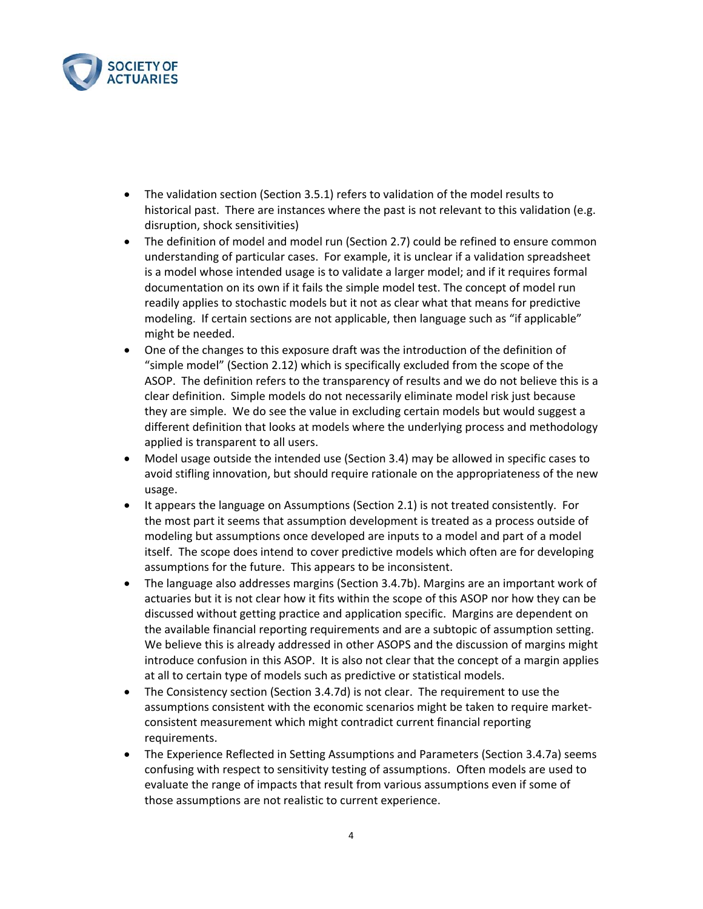

- The validation section (Section 3.5.1) refers to validation of the model results to historical past. There are instances where the past is not relevant to this validation (e.g. disruption, shock sensitivities)
- The definition of model and model run (Section 2.7) could be refined to ensure common understanding of particular cases. For example, it is unclear if a validation spreadsheet is a model whose intended usage is to validate a larger model; and if it requires formal documentation on its own if it fails the simple model test. The concept of model run readily applies to stochastic models but it not as clear what that means for predictive modeling. If certain sections are not applicable, then language such as "if applicable" might be needed.
- One of the changes to this exposure draft was the introduction of the definition of "simple model" (Section 2.12) which is specifically excluded from the scope of the ASOP. The definition refers to the transparency of results and we do not believe this is a clear definition. Simple models do not necessarily eliminate model risk just because they are simple. We do see the value in excluding certain models but would suggest a different definition that looks at models where the underlying process and methodology applied is transparent to all users.
- Model usage outside the intended use (Section 3.4) may be allowed in specific cases to avoid stifling innovation, but should require rationale on the appropriateness of the new usage.
- It appears the language on Assumptions (Section 2.1) is not treated consistently. For the most part it seems that assumption development is treated as a process outside of modeling but assumptions once developed are inputs to a model and part of a model itself. The scope does intend to cover predictive models which often are for developing assumptions for the future. This appears to be inconsistent.
- The language also addresses margins (Section 3.4.7b). Margins are an important work of actuaries but it is not clear how it fits within the scope of this ASOP nor how they can be discussed without getting practice and application specific. Margins are dependent on the available financial reporting requirements and are a subtopic of assumption setting. We believe this is already addressed in other ASOPS and the discussion of margins might introduce confusion in this ASOP. It is also not clear that the concept of a margin applies at all to certain type of models such as predictive or statistical models.
- The Consistency section (Section 3.4.7d) is not clear. The requirement to use the assumptions consistent with the economic scenarios might be taken to require market‐ consistent measurement which might contradict current financial reporting requirements.
- The Experience Reflected in Setting Assumptions and Parameters (Section 3.4.7a) seems confusing with respect to sensitivity testing of assumptions. Often models are used to evaluate the range of impacts that result from various assumptions even if some of those assumptions are not realistic to current experience.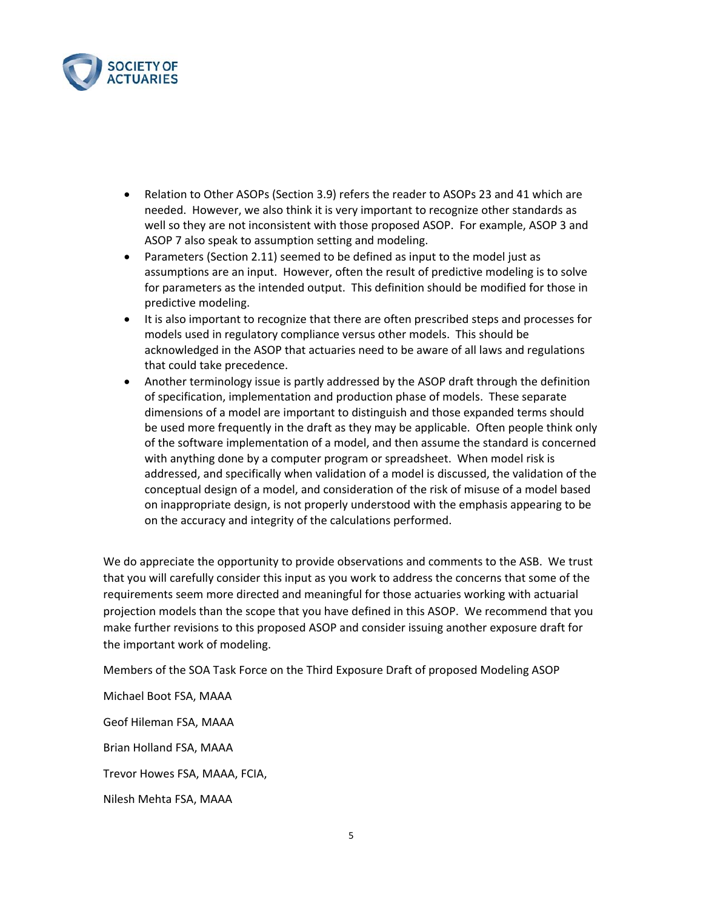

- Relation to Other ASOPs (Section 3.9) refers the reader to ASOPs 23 and 41 which are needed. However, we also think it is very important to recognize other standards as well so they are not inconsistent with those proposed ASOP. For example, ASOP 3 and ASOP 7 also speak to assumption setting and modeling.
- Parameters (Section 2.11) seemed to be defined as input to the model just as assumptions are an input. However, often the result of predictive modeling is to solve for parameters as the intended output. This definition should be modified for those in predictive modeling.
- It is also important to recognize that there are often prescribed steps and processes for models used in regulatory compliance versus other models. This should be acknowledged in the ASOP that actuaries need to be aware of all laws and regulations that could take precedence.
- Another terminology issue is partly addressed by the ASOP draft through the definition of specification, implementation and production phase of models. These separate dimensions of a model are important to distinguish and those expanded terms should be used more frequently in the draft as they may be applicable. Often people think only of the software implementation of a model, and then assume the standard is concerned with anything done by a computer program or spreadsheet. When model risk is addressed, and specifically when validation of a model is discussed, the validation of the conceptual design of a model, and consideration of the risk of misuse of a model based on inappropriate design, is not properly understood with the emphasis appearing to be on the accuracy and integrity of the calculations performed.

We do appreciate the opportunity to provide observations and comments to the ASB. We trust that you will carefully consider this input as you work to address the concerns that some of the requirements seem more directed and meaningful for those actuaries working with actuarial projection models than the scope that you have defined in this ASOP. We recommend that you make further revisions to this proposed ASOP and consider issuing another exposure draft for the important work of modeling.

Members of the SOA Task Force on the Third Exposure Draft of proposed Modeling ASOP

Michael Boot FSA, MAAA

Geof Hileman FSA, MAAA

Brian Holland FSA, MAAA

Trevor Howes FSA, MAAA, FCIA,

Nilesh Mehta FSA, MAAA